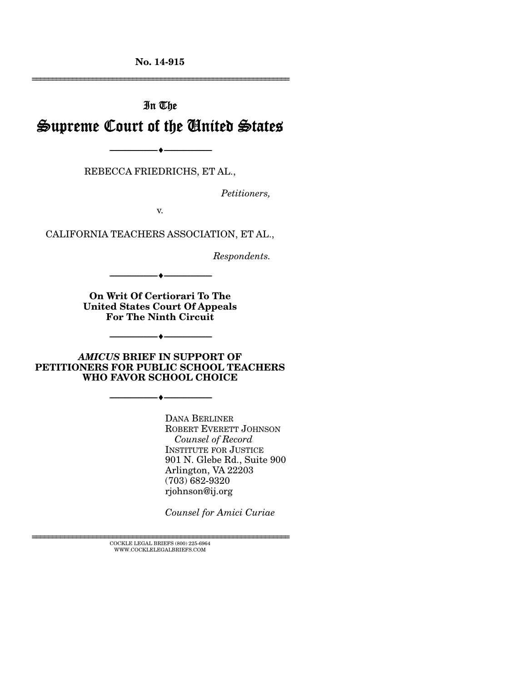**No. 14-915**  ================================================================

# In The Supreme Court of the United States

REBECCA FRIEDRICHS, ET AL.,

--------------------------------- ---------------------------------

*Petitioners,* 

v.

CALIFORNIA TEACHERS ASSOCIATION, ET AL.,

*Respondents.* 

**On Writ Of Certiorari To The United States Court Of Appeals For The Ninth Circuit** 

--------------------------------- ---------------------------------

*AMICUS* **BRIEF IN SUPPORT OF PETITIONERS FOR PUBLIC SCHOOL TEACHERS WHO FAVOR SCHOOL CHOICE** 

--------------------------------- ---------------------------------

--------------------------------- ---------------------------------

DANA BERLINER ROBERT EVERETT JOHNSON *Counsel of Record*  INSTITUTE FOR JUSTICE 901 N. Glebe Rd., Suite 900 Arlington, VA 22203 (703) 682-9320 rjohnson@ij.org

*Counsel for Amici Curiae* 

 $\textsc{COCKLE}$  LEGAL BRIEFS (800) 225-6964 WWW.COCKLELEGALBRIEFS.COM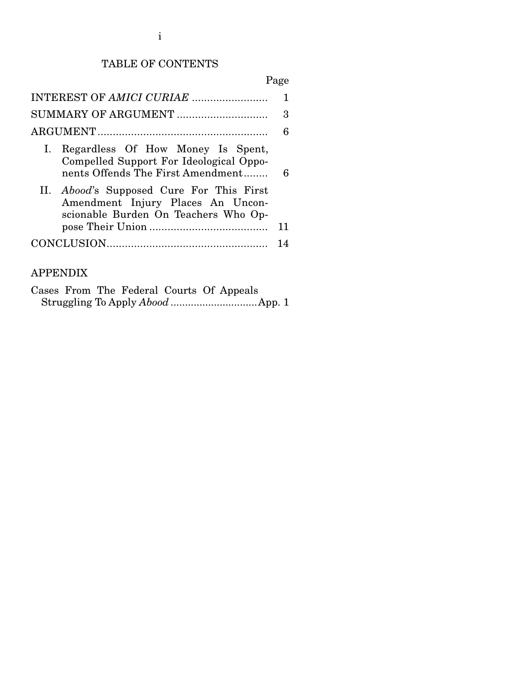## TABLE OF CONTENTS

# Page

|                                                                                                                              | 6  |  |  |  |
|------------------------------------------------------------------------------------------------------------------------------|----|--|--|--|
| Regardless Of How Money Is Spent,<br>Ι.<br>Compelled Support For Ideological Oppo-<br>nents Offends The First Amendment      | 6  |  |  |  |
| II. <i>Abood's</i> Supposed Cure For This First<br>Amendment Injury Places An Uncon-<br>scionable Burden On Teachers Who Op- |    |  |  |  |
|                                                                                                                              | 11 |  |  |  |
|                                                                                                                              |    |  |  |  |
|                                                                                                                              |    |  |  |  |

## APPENDIX

|  |  |  | Cases From The Federal Courts Of Appeals |  |
|--|--|--|------------------------------------------|--|
|  |  |  |                                          |  |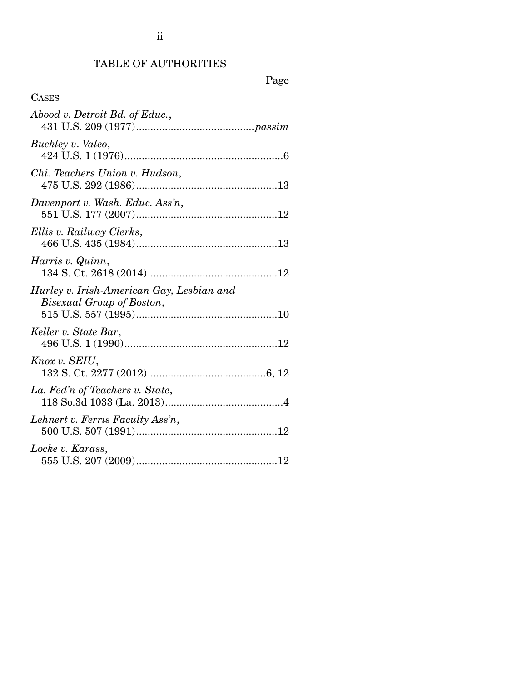# TABLE OF AUTHORITIES

# Page

| <b>CASES</b>                                                           |
|------------------------------------------------------------------------|
| Abood v. Detroit Bd. of Educ.,                                         |
| Buckley v. Valeo,                                                      |
| Chi. Teachers Union v. Hudson,                                         |
| Davenport v. Wash. Educ. Ass'n,                                        |
| Ellis v. Railway Clerks,                                               |
| Harris v. Quinn,                                                       |
| Hurley v. Irish-American Gay, Lesbian and<br>Bisexual Group of Boston, |
| Keller v. State Bar,                                                   |
| Knox v. SEIU,                                                          |
| La. Fed'n of Teachers v. State,                                        |
| Lehnert v. Ferris Faculty Ass'n,                                       |
| Locke v. Karass,                                                       |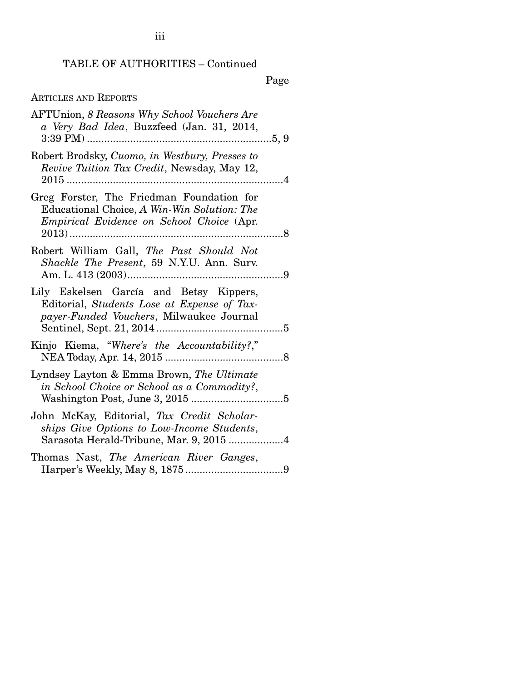### TABLE OF AUTHORITIES – Continued

Page

### ARTICLES AND REPORTS

| <b>AFTUnion, 8 Reasons Why School Vouchers Are</b><br>a Very Bad Idea, Buzzfeed (Jan. 31, 2014,                                            |                |
|--------------------------------------------------------------------------------------------------------------------------------------------|----------------|
| Robert Brodsky, Cuomo, in Westbury, Presses to<br>Revive Tuition Tax Credit, Newsday, May 12,                                              | $\overline{4}$ |
| Greg Forster, The Friedman Foundation for<br>Educational Choice, A Win-Win Solution: The<br>Empirical Evidence on School Choice (Apr.      |                |
| Robert William Gall, The Past Should Not<br>Shackle The Present, 59 N.Y.U. Ann. Surv.                                                      |                |
| Lily Eskelsen García and Betsy Kippers,<br>Editorial, Students Lose at Expense of Tax-<br><i>payer-Funded Vouchers</i> , Milwaukee Journal |                |
| Kinjo Kiema, "Where's the Accountability?,"                                                                                                |                |
| Lyndsey Layton & Emma Brown, The Ultimate<br>in School Choice or School as a Commodity?,                                                   |                |
| John McKay, Editorial, Tax Credit Scholar-<br>ships Give Options to Low-Income Students,<br>Sarasota Herald-Tribune, Mar. 9, 2015 4        |                |
| Thomas Nast, The American River Ganges,                                                                                                    |                |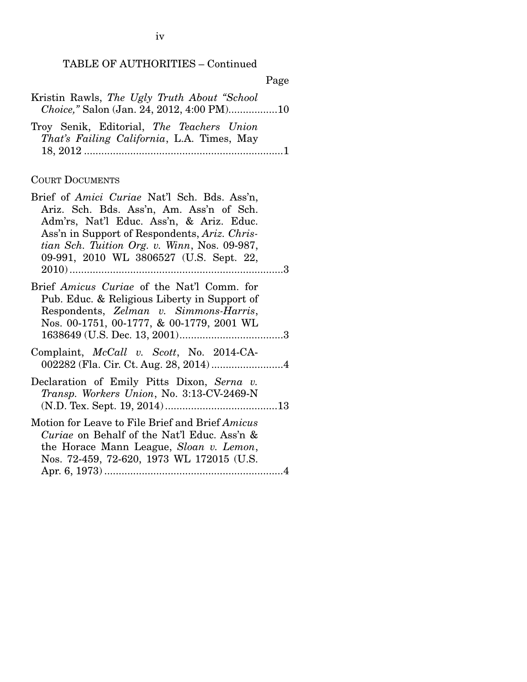# TABLE OF AUTHORITIES – Continued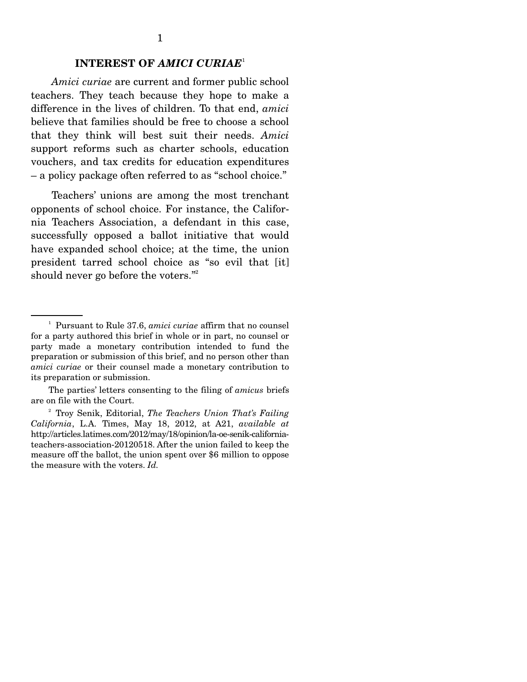#### **INTEREST OF** *AMICI CURIAE*<sup>1</sup>

*Amici curiae* are current and former public school teachers. They teach because they hope to make a difference in the lives of children. To that end, *amici*  believe that families should be free to choose a school that they think will best suit their needs. *Amici*  support reforms such as charter schools, education vouchers, and tax credits for education expenditures – a policy package often referred to as "school choice."

 Teachers' unions are among the most trenchant opponents of school choice. For instance, the California Teachers Association, a defendant in this case, successfully opposed a ballot initiative that would have expanded school choice; at the time, the union president tarred school choice as "so evil that [it] should never go before the voters."<sup>2</sup>

<sup>1</sup> Pursuant to Rule 37.6, *amici curiae* affirm that no counsel for a party authored this brief in whole or in part, no counsel or party made a monetary contribution intended to fund the preparation or submission of this brief, and no person other than *amici curiae* or their counsel made a monetary contribution to its preparation or submission.

The parties' letters consenting to the filing of *amicus* briefs are on file with the Court.

<sup>2</sup> Troy Senik, Editorial, *The Teachers Union That's Failing California*, L.A. Times, May 18, 2012, at A21, *available at*  http://articles.latimes.com/2012/may/18/opinion/la-oe-senik-californiateachers-association-20120518. After the union failed to keep the measure off the ballot, the union spent over \$6 million to oppose the measure with the voters. *Id.*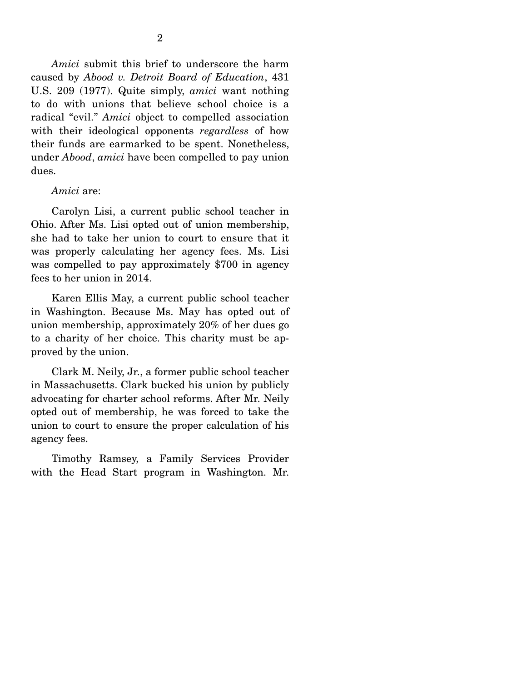*Amici* submit this brief to underscore the harm caused by *Abood v. Detroit Board of Education*, 431 U.S. 209 (1977). Quite simply, *amici* want nothing to do with unions that believe school choice is a radical "evil." *Amici* object to compelled association with their ideological opponents *regardless* of how their funds are earmarked to be spent. Nonetheless, under *Abood*, *amici* have been compelled to pay union dues.

#### *Amici* are:

 Carolyn Lisi, a current public school teacher in Ohio. After Ms. Lisi opted out of union membership, she had to take her union to court to ensure that it was properly calculating her agency fees. Ms. Lisi was compelled to pay approximately \$700 in agency fees to her union in 2014.

 Karen Ellis May, a current public school teacher in Washington. Because Ms. May has opted out of union membership, approximately 20% of her dues go to a charity of her choice. This charity must be approved by the union.

 Clark M. Neily, Jr., a former public school teacher in Massachusetts. Clark bucked his union by publicly advocating for charter school reforms. After Mr. Neily opted out of membership, he was forced to take the union to court to ensure the proper calculation of his agency fees.

 Timothy Ramsey, a Family Services Provider with the Head Start program in Washington. Mr.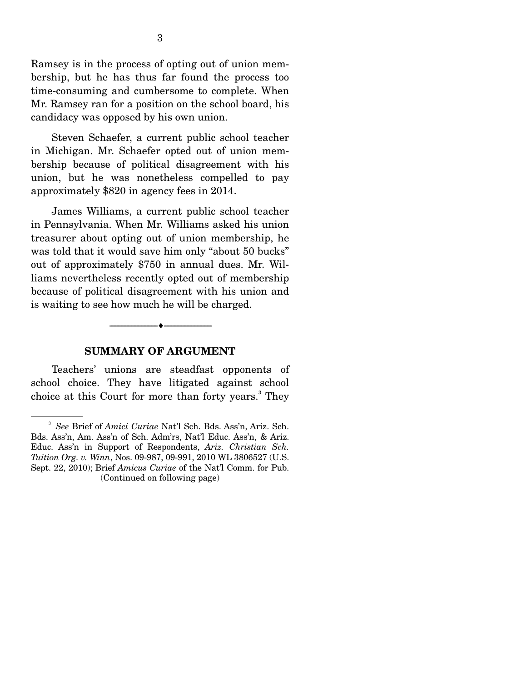Ramsey is in the process of opting out of union membership, but he has thus far found the process too time-consuming and cumbersome to complete. When Mr. Ramsey ran for a position on the school board, his candidacy was opposed by his own union.

 Steven Schaefer, a current public school teacher in Michigan. Mr. Schaefer opted out of union membership because of political disagreement with his union, but he was nonetheless compelled to pay approximately \$820 in agency fees in 2014.

 James Williams, a current public school teacher in Pennsylvania. When Mr. Williams asked his union treasurer about opting out of union membership, he was told that it would save him only "about 50 bucks" out of approximately \$750 in annual dues. Mr. Williams nevertheless recently opted out of membership because of political disagreement with his union and is waiting to see how much he will be charged.

#### **SUMMARY OF ARGUMENT**

--------------------------------- ---------------------------------

 Teachers' unions are steadfast opponents of school choice. They have litigated against school choice at this Court for more than forty years.<sup>3</sup> They

<sup>3</sup> *See* Brief of *Amici Curiae* Nat'l Sch. Bds. Ass'n, Ariz. Sch. Bds. Ass'n, Am. Ass'n of Sch. Adm'rs, Nat'l Educ. Ass'n, & Ariz. Educ. Ass'n in Support of Respondents, *Ariz. Christian Sch. Tuition Org. v. Winn*, Nos. 09-987, 09-991, 2010 WL 3806527 (U.S. Sept. 22, 2010); Brief *Amicus Curiae* of the Nat'l Comm. for Pub. (Continued on following page)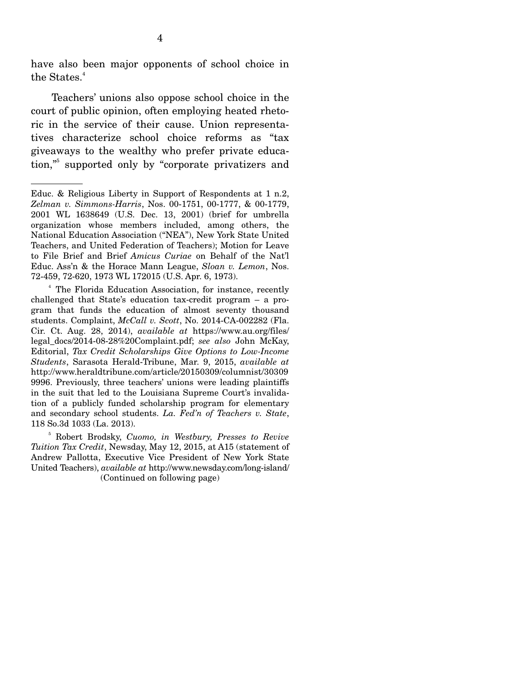have also been major opponents of school choice in the States.<sup>4</sup>

 Teachers' unions also oppose school choice in the court of public opinion, often employing heated rhetoric in the service of their cause. Union representatives characterize school choice reforms as "tax giveaways to the wealthy who prefer private education,"5 supported only by "corporate privatizers and

4 The Florida Education Association, for instance, recently challenged that State's education tax-credit program – a program that funds the education of almost seventy thousand students. Complaint, *McCall v. Scott*, No. 2014-CA-002282 (Fla. Cir. Ct. Aug. 28, 2014), *available at* https://www.au.org/files/ legal\_docs/2014-08-28%20Complaint.pdf; *see also* John McKay, Editorial, *Tax Credit Scholarships Give Options to Low-Income Students*, Sarasota Herald-Tribune, Mar. 9, 2015, *available at*  http://www.heraldtribune.com/article/20150309/columnist/30309 9996. Previously, three teachers' unions were leading plaintiffs in the suit that led to the Louisiana Supreme Court's invalidation of a publicly funded scholarship program for elementary and secondary school students. *La. Fed'n of Teachers v. State*, 118 So.3d 1033 (La. 2013).

Educ. & Religious Liberty in Support of Respondents at 1 n.2, *Zelman v. Simmons-Harris*, Nos. 00-1751, 00-1777, & 00-1779, 2001 WL 1638649 (U.S. Dec. 13, 2001) (brief for umbrella organization whose members included, among others, the National Education Association ("NEA"), New York State United Teachers, and United Federation of Teachers); Motion for Leave to File Brief and Brief *Amicus Curiae* on Behalf of the Nat'l Educ. Ass'n & the Horace Mann League, *Sloan v. Lemon*, Nos. 72-459, 72-620, 1973 WL 172015 (U.S. Apr. 6, 1973).

<sup>5</sup> Robert Brodsky, *Cuomo, in Westbury, Presses to Revive Tuition Tax Credit*, Newsday, May 12, 2015, at A15 (statement of Andrew Pallotta, Executive Vice President of New York State United Teachers), *available at* http://www.newsday.com/long-island/ (Continued on following page)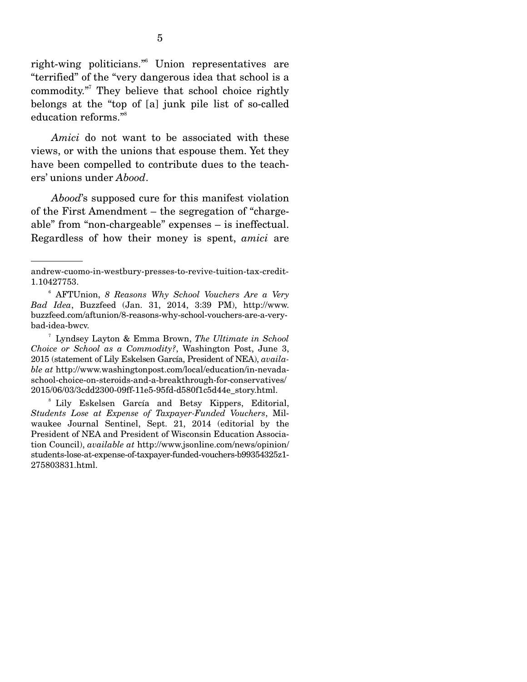right-wing politicians."6 Union representatives are "terrified" of the "very dangerous idea that school is a commodity."7 They believe that school choice rightly belongs at the "top of [a] junk pile list of so-called education reforms."8

*Amici* do not want to be associated with these views, or with the unions that espouse them. Yet they have been compelled to contribute dues to the teachers' unions under *Abood*.

*Abood*'s supposed cure for this manifest violation of the First Amendment – the segregation of "chargeable" from "non-chargeable" expenses – is ineffectual. Regardless of how their money is spent, *amici* are

andrew-cuomo-in-westbury-presses-to-revive-tuition-tax-credit-1.10427753.

<sup>6</sup> AFTUnion, *8 Reasons Why School Vouchers Are a Very Bad Idea*, Buzzfeed (Jan. 31, 2014, 3:39 PM), http://www. buzzfeed.com/aftunion/8-reasons-why-school-vouchers-are-a-verybad-idea-bwcv.

<sup>7</sup> Lyndsey Layton & Emma Brown, *The Ultimate in School Choice or School as a Commodity?*, Washington Post, June 3, 2015 (statement of Lily Eskelsen García, President of NEA), *available at* http://www.washingtonpost.com/local/education/in-nevadaschool-choice-on-steroids-and-a-breakthrough-for-conservatives/ 2015/06/03/3cdd2300-09ff-11e5-95fd-d580f1c5d44e\_story.html.

<sup>8</sup> Lily Eskelsen García and Betsy Kippers, Editorial, *Students Lose at Expense of Taxpayer-Funded Vouchers*, Milwaukee Journal Sentinel, Sept. 21, 2014 (editorial by the President of NEA and President of Wisconsin Education Association Council), *available at* http://www.jsonline.com/news/opinion/ students-lose-at-expense-of-taxpayer-funded-vouchers-b99354325z1- 275803831.html.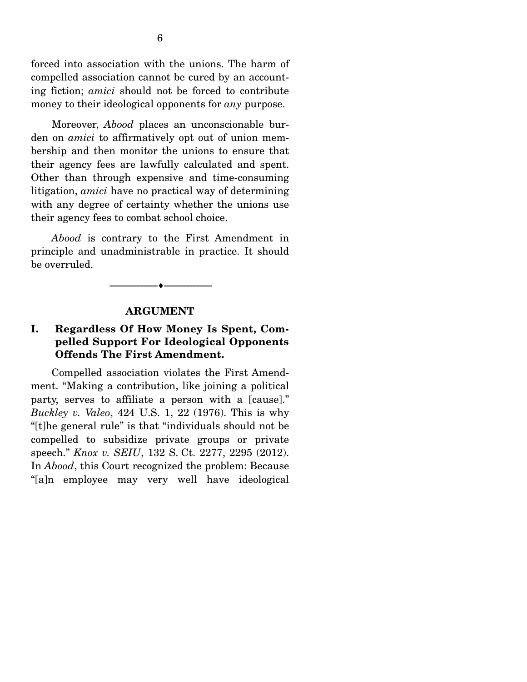forced into association with the unions. The harm of compelled association cannot be cured by an accounting fiction; *amici* should not be forced to contribute money to their ideological opponents for *any* purpose.

 Moreover, *Abood* places an unconscionable burden on *amici* to affirmatively opt out of union membership and then monitor the unions to ensure that their agency fees are lawfully calculated and spent. Other than through expensive and time-consuming litigation, *amici* have no practical way of determining with any degree of certainty whether the unions use their agency fees to combat school choice.

*Abood* is contrary to the First Amendment in principle and unadministrable in practice. It should be overruled.



#### **ARGUMENT**

### **I. Regardless Of How Money Is Spent, Compelled Support For Ideological Opponents Offends The First Amendment.**

 Compelled association violates the First Amendment. "Making a contribution, like joining a political party, serves to affiliate a person with a [cause]." *Buckley v. Valeo*, 424 U.S. 1, 22 (1976). This is why "[t]he general rule" is that "individuals should not be compelled to subsidize private groups or private speech." *Knox v. SEIU*, 132 S. Ct. 2277, 2295 (2012). In *Abood*, this Court recognized the problem: Because "[a]n employee may very well have ideological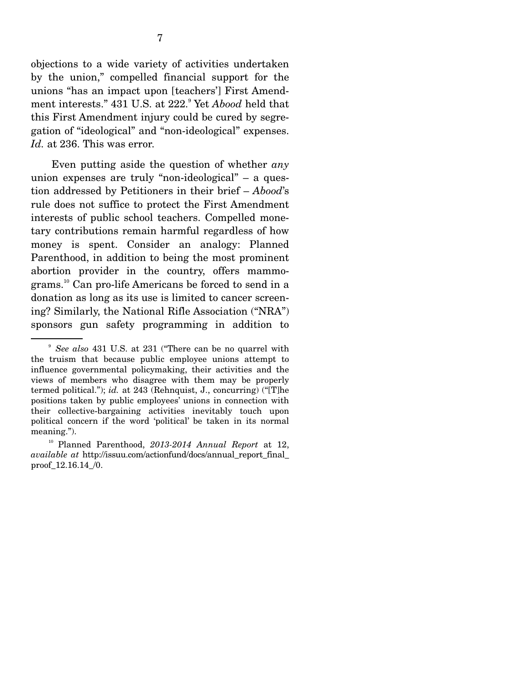objections to a wide variety of activities undertaken by the union," compelled financial support for the unions "has an impact upon [teachers'] First Amendment interests." 431 U.S. at 222.<sup>9</sup> Yet *Abood* held that this First Amendment injury could be cured by segregation of "ideological" and "non-ideological" expenses. *Id.* at 236. This was error.

 Even putting aside the question of whether *any*  union expenses are truly "non-ideological" – a question addressed by Petitioners in their brief – *Abood*'s rule does not suffice to protect the First Amendment interests of public school teachers. Compelled monetary contributions remain harmful regardless of how money is spent. Consider an analogy: Planned Parenthood, in addition to being the most prominent abortion provider in the country, offers mammograms.10 Can pro-life Americans be forced to send in a donation as long as its use is limited to cancer screening? Similarly, the National Rifle Association ("NRA") sponsors gun safety programming in addition to

<sup>9</sup> *See also* 431 U.S. at 231 ("There can be no quarrel with the truism that because public employee unions attempt to influence governmental policymaking, their activities and the views of members who disagree with them may be properly termed political."); *id.* at 243 (Rehnquist, J., concurring) ("[T]he positions taken by public employees' unions in connection with their collective-bargaining activities inevitably touch upon political concern if the word 'political' be taken in its normal meaning.").

<sup>10</sup> Planned Parenthood, *2013-2014 Annual Report* at 12, *available at* http://issuu.com/actionfund/docs/annual\_report\_final\_ proof 12.16.14 /0.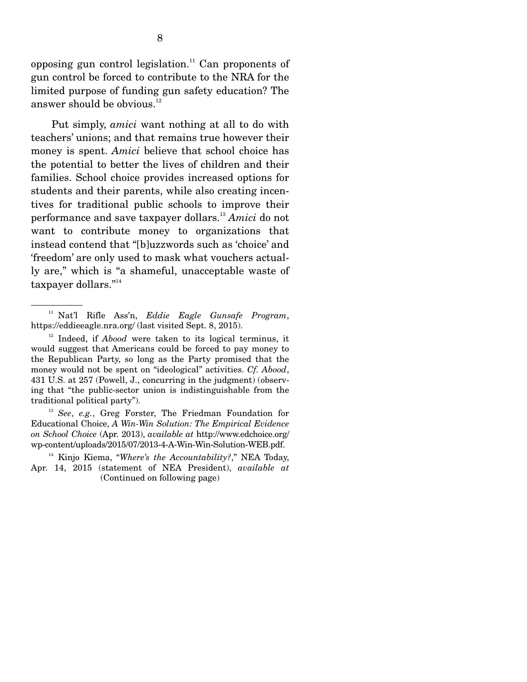opposing gun control legislation.<sup>11</sup> Can proponents of gun control be forced to contribute to the NRA for the limited purpose of funding gun safety education? The answer should be obvious.<sup>12</sup>

 Put simply, *amici* want nothing at all to do with teachers' unions; and that remains true however their money is spent. *Amici* believe that school choice has the potential to better the lives of children and their families. School choice provides increased options for students and their parents, while also creating incentives for traditional public schools to improve their performance and save taxpayer dollars.13 *Amici* do not want to contribute money to organizations that instead contend that "[b]uzzwords such as 'choice' and 'freedom' are only used to mask what vouchers actually are," which is "a shameful, unacceptable waste of taxpayer dollars."<sup>14</sup>

<sup>11</sup> Nat'l Rifle Ass'n, *Eddie Eagle Gunsafe Program*, https://eddieeagle.nra.org/ (last visited Sept. 8, 2015).

<sup>&</sup>lt;sup>12</sup> Indeed, if *Abood* were taken to its logical terminus, it would suggest that Americans could be forced to pay money to the Republican Party, so long as the Party promised that the money would not be spent on "ideological" activities. *Cf. Abood*, 431 U.S. at 257 (Powell, J., concurring in the judgment) (observing that "the public-sector union is indistinguishable from the traditional political party").

<sup>13</sup> *See*, *e.g.*, Greg Forster, The Friedman Foundation for Educational Choice, *A Win-Win Solution: The Empirical Evidence on School Choice* (Apr. 2013), *available at* http://www.edchoice.org/ wp-content/uploads/2015/07/2013-4-A-Win-Win-Solution-WEB.pdf.

<sup>&</sup>lt;sup>14</sup> Kinjo Kiema, "*Where's the Accountability?*," NEA Today, Apr. 14, 2015 (statement of NEA President), *available at*  (Continued on following page)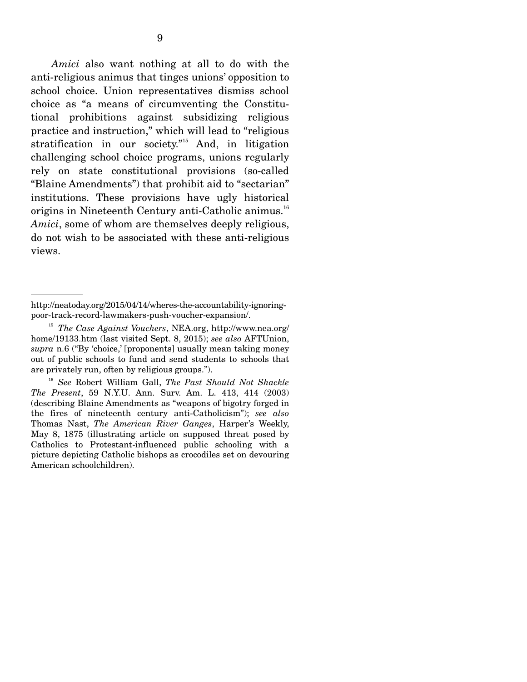*Amici* also want nothing at all to do with the anti-religious animus that tinges unions' opposition to school choice. Union representatives dismiss school choice as "a means of circumventing the Constitutional prohibitions against subsidizing religious practice and instruction," which will lead to "religious stratification in our society."<sup>15</sup> And, in litigation challenging school choice programs, unions regularly rely on state constitutional provisions (so-called "Blaine Amendments") that prohibit aid to "sectarian" institutions. These provisions have ugly historical origins in Nineteenth Century anti-Catholic animus.<sup>16</sup> *Amici*, some of whom are themselves deeply religious, do not wish to be associated with these anti-religious views.

http://neatoday.org/2015/04/14/wheres-the-accountability-ignoringpoor-track-record-lawmakers-push-voucher-expansion/.

<sup>15</sup> *The Case Against Vouchers*, NEA.org, http://www.nea.org/ home/19133.htm (last visited Sept. 8, 2015); *see also* AFTUnion, *supra* n.6 ("By 'choice,' [proponents] usually mean taking money out of public schools to fund and send students to schools that are privately run, often by religious groups.").

<sup>16</sup> *See* Robert William Gall, *The Past Should Not Shackle The Present*, 59 N.Y.U. Ann. Surv. Am. L. 413, 414 (2003) (describing Blaine Amendments as "weapons of bigotry forged in the fires of nineteenth century anti-Catholicism"); *see also*  Thomas Nast, *The American River Ganges*, Harper's Weekly, May 8, 1875 (illustrating article on supposed threat posed by Catholics to Protestant-influenced public schooling with a picture depicting Catholic bishops as crocodiles set on devouring American schoolchildren).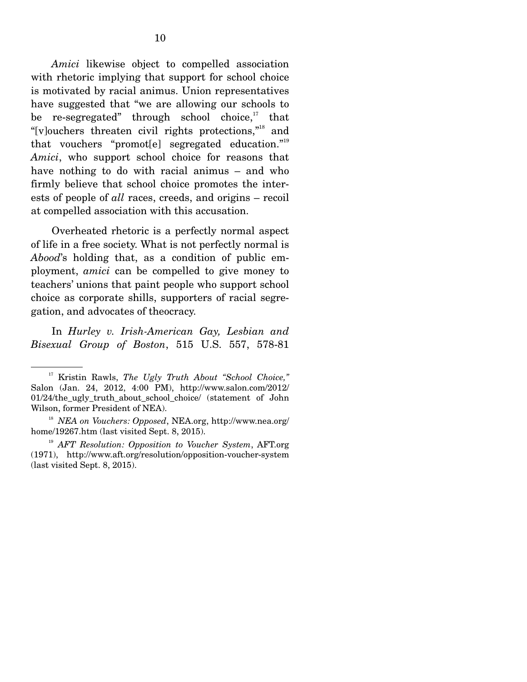*Amici* likewise object to compelled association with rhetoric implying that support for school choice is motivated by racial animus. Union representatives have suggested that "we are allowing our schools to be re-segregated" through school choice, $17$  that "[v]ouchers threaten civil rights protections,"18 and that vouchers "promot[e] segregated education."19 *Amici*, who support school choice for reasons that have nothing to do with racial animus – and who firmly believe that school choice promotes the interests of people of *all* races, creeds, and origins – recoil at compelled association with this accusation.

 Overheated rhetoric is a perfectly normal aspect of life in a free society. What is not perfectly normal is *Abood*'s holding that, as a condition of public employment, *amici* can be compelled to give money to teachers' unions that paint people who support school choice as corporate shills, supporters of racial segregation, and advocates of theocracy.

 In *Hurley v. Irish-American Gay, Lesbian and Bisexual Group of Boston*, 515 U.S. 557, 578-81

<sup>17</sup> Kristin Rawls, *The Ugly Truth About "School Choice,"*  Salon (Jan. 24, 2012, 4:00 PM), http://www.salon.com/2012/ 01/24/the\_ugly\_truth\_about\_school\_choice/ (statement of John Wilson, former President of NEA).

<sup>18</sup> *NEA on Vouchers: Opposed*, NEA.org, http://www.nea.org/ home/19267.htm (last visited Sept. 8, 2015).

<sup>19</sup> *AFT Resolution: Opposition to Voucher System*, AFT.org (1971), http://www.aft.org/resolution/opposition-voucher-system (last visited Sept. 8, 2015).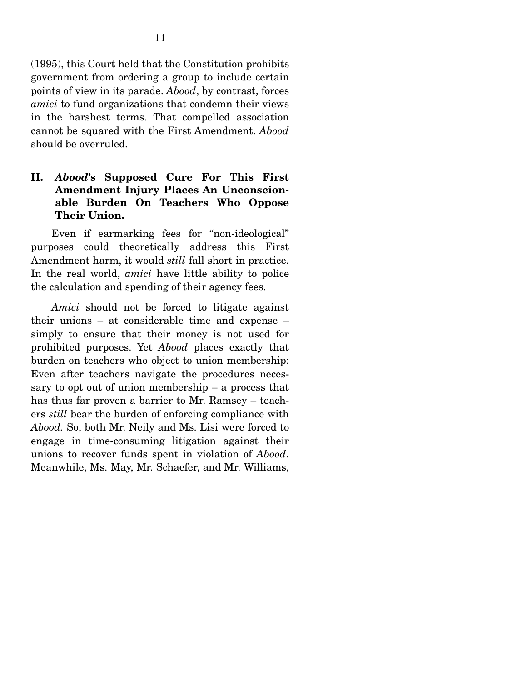(1995), this Court held that the Constitution prohibits government from ordering a group to include certain points of view in its parade. *Abood*, by contrast, forces *amici* to fund organizations that condemn their views in the harshest terms. That compelled association cannot be squared with the First Amendment. *Abood*  should be overruled.

### **II.** *Abood***'s Supposed Cure For This First Amendment Injury Places An Unconscionable Burden On Teachers Who Oppose Their Union.**

 Even if earmarking fees for "non-ideological" purposes could theoretically address this First Amendment harm, it would *still* fall short in practice. In the real world, *amici* have little ability to police the calculation and spending of their agency fees.

*Amici* should not be forced to litigate against their unions – at considerable time and expense – simply to ensure that their money is not used for prohibited purposes. Yet *Abood* places exactly that burden on teachers who object to union membership: Even after teachers navigate the procedures necessary to opt out of union membership – a process that has thus far proven a barrier to Mr. Ramsey – teachers *still* bear the burden of enforcing compliance with *Abood.* So, both Mr. Neily and Ms. Lisi were forced to engage in time-consuming litigation against their unions to recover funds spent in violation of *Abood*. Meanwhile, Ms. May, Mr. Schaefer, and Mr. Williams,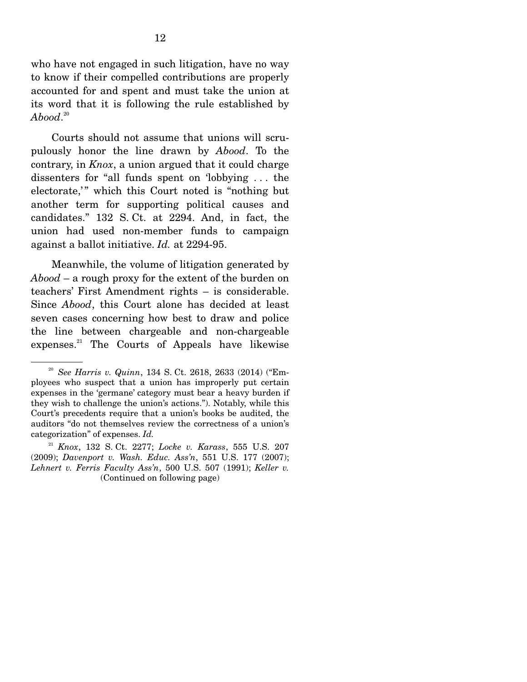who have not engaged in such litigation, have no way to know if their compelled contributions are properly accounted for and spent and must take the union at its word that it is following the rule established by  $A \mathit{bool}^{\,\scriptscriptstyle 20}$ 

 Courts should not assume that unions will scrupulously honor the line drawn by *Abood*. To the contrary, in *Knox*, a union argued that it could charge dissenters for "all funds spent on 'lobbying . . . the electorate," which this Court noted is "nothing but another term for supporting political causes and candidates." 132 S. Ct. at 2294. And, in fact, the union had used non-member funds to campaign against a ballot initiative. *Id.* at 2294-95.

 Meanwhile, the volume of litigation generated by *Abood* – a rough proxy for the extent of the burden on teachers' First Amendment rights – is considerable. Since *Abood*, this Court alone has decided at least seven cases concerning how best to draw and police the line between chargeable and non-chargeable expenses.<sup>21</sup> The Courts of Appeals have likewise

<sup>20</sup> *See Harris v. Quinn*, 134 S. Ct. 2618, 2633 (2014) ("Employees who suspect that a union has improperly put certain expenses in the 'germane' category must bear a heavy burden if they wish to challenge the union's actions."). Notably, while this Court's precedents require that a union's books be audited, the auditors "do not themselves review the correctness of a union's categorization" of expenses. *Id.*

<sup>21</sup> *Knox*, 132 S. Ct. 2277; *Locke v. Karass*, 555 U.S. 207 (2009); *Davenport v. Wash. Educ. Ass'n*, 551 U.S. 177 (2007); *Lehnert v. Ferris Faculty Ass'n*, 500 U.S. 507 (1991); *Keller v.*  (Continued on following page)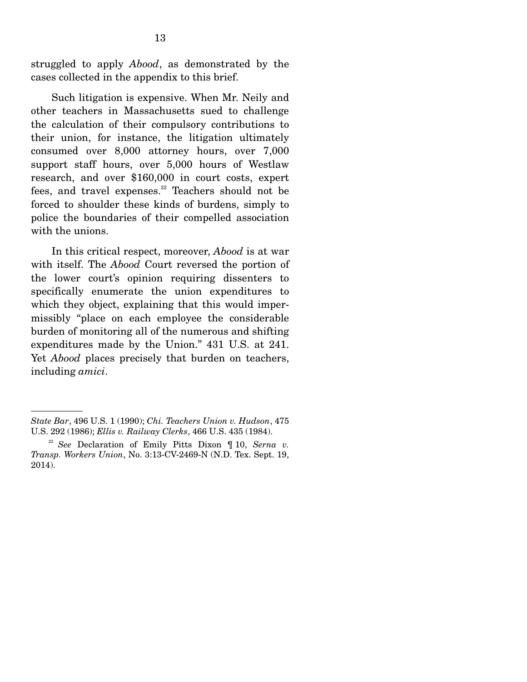struggled to apply *Abood*, as demonstrated by the cases collected in the appendix to this brief.

 Such litigation is expensive. When Mr. Neily and other teachers in Massachusetts sued to challenge the calculation of their compulsory contributions to their union, for instance, the litigation ultimately consumed over 8,000 attorney hours, over 7,000 support staff hours, over 5,000 hours of Westlaw research, and over \$160,000 in court costs, expert fees, and travel expenses. $22$  Teachers should not be forced to shoulder these kinds of burdens, simply to police the boundaries of their compelled association with the unions.

 In this critical respect, moreover, *Abood* is at war with itself. The *Abood* Court reversed the portion of the lower court's opinion requiring dissenters to specifically enumerate the union expenditures to which they object, explaining that this would impermissibly "place on each employee the considerable burden of monitoring all of the numerous and shifting expenditures made by the Union." 431 U.S. at 241. Yet *Abood* places precisely that burden on teachers, including *amici*.

*State Bar*, 496 U.S. 1 (1990); *Chi. Teachers Union v. Hudson*, 475 U.S. 292 (1986); *Ellis v. Railway Clerks*, 466 U.S. 435 (1984).

<sup>22</sup> *See* Declaration of Emily Pitts Dixon ¶ 10, *Serna v. Transp. Workers Union*, No. 3:13-CV-2469-N (N.D. Tex. Sept. 19, 2014).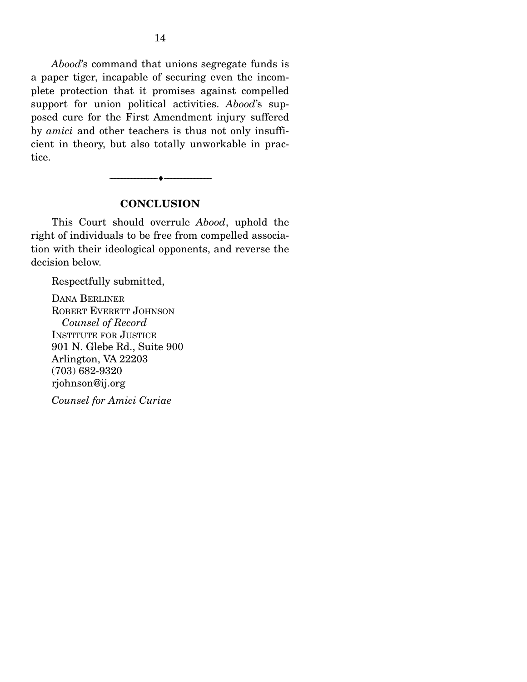*Abood*'s command that unions segregate funds is a paper tiger, incapable of securing even the incomplete protection that it promises against compelled support for union political activities. *Abood*'s supposed cure for the First Amendment injury suffered by *amici* and other teachers is thus not only insufficient in theory, but also totally unworkable in practice.

#### **CONCLUSION**

--------------------------------- ---------------------------------

 This Court should overrule *Abood*, uphold the right of individuals to be free from compelled association with their ideological opponents, and reverse the decision below.

Respectfully submitted,

DANA BERLINER ROBERT EVERETT JOHNSON  *Counsel of Record*  INSTITUTE FOR JUSTICE 901 N. Glebe Rd., Suite 900 Arlington, VA 22203 (703) 682-9320 rjohnson@ij.org

*Counsel for Amici Curiae*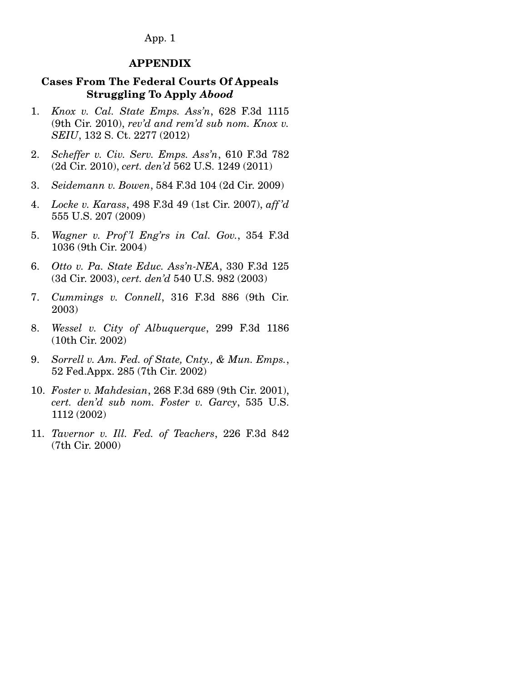App. 1

#### **APPENDIX**

### **Cases From The Federal Courts Of Appeals Struggling To Apply** *Abood*

- 1. *Knox v. Cal. State Emps. Ass'n*, 628 F.3d 1115 (9th Cir. 2010), *rev'd and rem'd sub nom. Knox v. SEIU*, 132 S. Ct. 2277 (2012)
- 2. *Scheffer v. Civ. Serv. Emps. Ass'n*, 610 F.3d 782 (2d Cir. 2010), *cert. den'd* 562 U.S. 1249 (2011)
- 3. *Seidemann v. Bowen*, 584 F.3d 104 (2d Cir. 2009)
- 4. *Locke v. Karass*, 498 F.3d 49 (1st Cir. 2007), *aff 'd* 555 U.S. 207 (2009)
- 5. *Wagner v. Prof 'l Eng'rs in Cal. Gov.*, 354 F.3d 1036 (9th Cir. 2004)
- 6. *Otto v. Pa. State Educ. Ass'n-NEA*, 330 F.3d 125 (3d Cir. 2003), *cert. den'd* 540 U.S. 982 (2003)
- 7. *Cummings v. Connell*, 316 F.3d 886 (9th Cir. 2003)
- 8. *Wessel v. City of Albuquerque*, 299 F.3d 1186 (10th Cir. 2002)
- 9. *Sorrell v. Am. Fed. of State, Cnty., & Mun. Emps.*, 52 Fed.Appx. 285 (7th Cir. 2002)
- 10. *Foster v. Mahdesian*, 268 F.3d 689 (9th Cir. 2001), *cert. den'd sub nom. Foster v. Garcy*, 535 U.S. 1112 (2002)
- 11. *Tavernor v. Ill. Fed. of Teachers*, 226 F.3d 842 (7th Cir. 2000)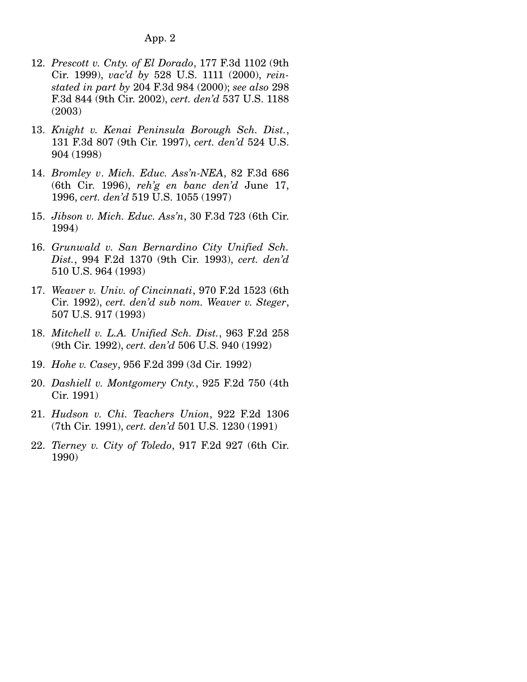- 12. *Prescott v. Cnty. of El Dorado*, 177 F.3d 1102 (9th Cir. 1999), *vac'd by* 528 U.S. 1111 (2000), *reinstated in part by* 204 F.3d 984 (2000); *see also* 298 F.3d 844 (9th Cir. 2002), *cert. den'd* 537 U.S. 1188 (2003)
- 13. *Knight v. Kenai Peninsula Borough Sch. Dist.*, 131 F.3d 807 (9th Cir. 1997), *cert. den'd* 524 U.S. 904 (1998)
- 14. *Bromley v*. *Mich. Educ. Ass'n-NEA*, 82 F.3d 686 (6th Cir. 1996), *reh'g en banc den'd* June 17, 1996, *cert. den'd* 519 U.S. 1055 (1997)
- 15. *Jibson v. Mich. Educ. Ass'n*, 30 F.3d 723 (6th Cir. 1994)
- 16. *Grunwald v. San Bernardino City Unified Sch. Dist.*, 994 F.2d 1370 (9th Cir. 1993), *cert. den'd* 510 U.S. 964 (1993)
- 17. *Weaver v. Univ. of Cincinnati*, 970 F.2d 1523 (6th Cir. 1992), *cert. den'd sub nom. Weaver v. Steger*, 507 U.S. 917 (1993)
- 18. *Mitchell v. L.A. Unified Sch. Dist.*, 963 F.2d 258 (9th Cir. 1992), *cert. den'd* 506 U.S. 940 (1992)
- 19. *Hohe v. Casey*, 956 F.2d 399 (3d Cir. 1992)
- 20. *Dashiell v. Montgomery Cnty.*, 925 F.2d 750 (4th Cir. 1991)
- 21. *Hudson v. Chi. Teachers Union*, 922 F.2d 1306 (7th Cir. 1991), *cert. den'd* 501 U.S. 1230 (1991)
- 22. *Tierney v. City of Toledo*, 917 F.2d 927 (6th Cir. 1990)